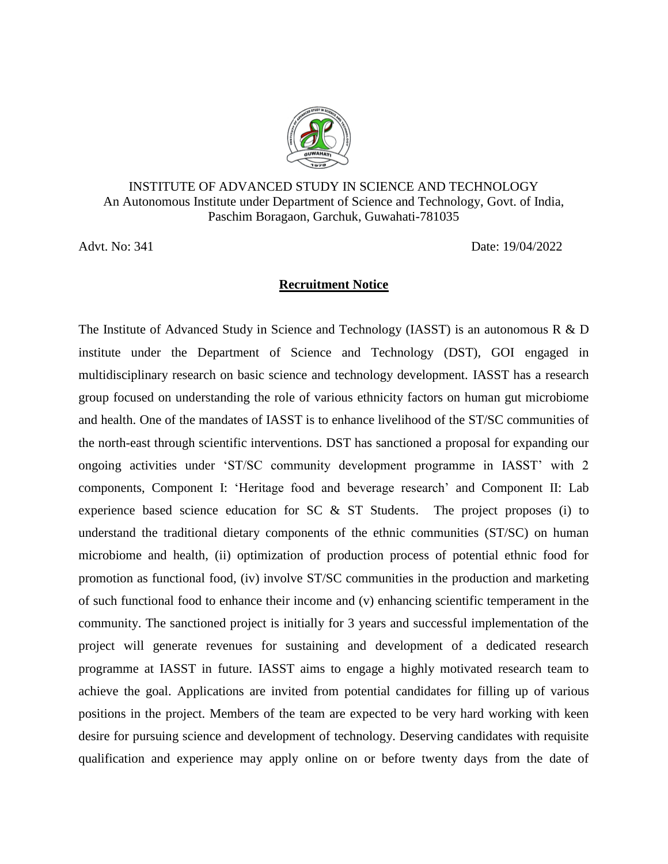

## INSTITUTE OF ADVANCED STUDY IN SCIENCE AND TECHNOLOGY An Autonomous Institute under Department of Science and Technology, Govt. of India, Paschim Boragaon, Garchuk, Guwahati-781035

Advt. No: 341 Date: 19/04/2022

## **Recruitment Notice**

The Institute of Advanced Study in Science and Technology (IASST) is an autonomous R & D institute under the Department of Science and Technology (DST), GOI engaged in multidisciplinary research on basic science and technology development. IASST has a research group focused on understanding the role of various ethnicity factors on human gut microbiome and health. One of the mandates of IASST is to enhance livelihood of the ST/SC communities of the north-east through scientific interventions. DST has sanctioned a proposal for expanding our ongoing activities under 'ST/SC community development programme in IASST' with 2 components, Component I: 'Heritage food and beverage research' and Component II: Lab experience based science education for SC & ST Students. The project proposes (i) to understand the traditional dietary components of the ethnic communities (ST/SC) on human microbiome and health, (ii) optimization of production process of potential ethnic food for promotion as functional food, (iv) involve ST/SC communities in the production and marketing of such functional food to enhance their income and (v) enhancing scientific temperament in the community. The sanctioned project is initially for 3 years and successful implementation of the project will generate revenues for sustaining and development of a dedicated research programme at IASST in future. IASST aims to engage a highly motivated research team to achieve the goal. Applications are invited from potential candidates for filling up of various positions in the project. Members of the team are expected to be very hard working with keen desire for pursuing science and development of technology. Deserving candidates with requisite qualification and experience may apply online on or before twenty days from the date of